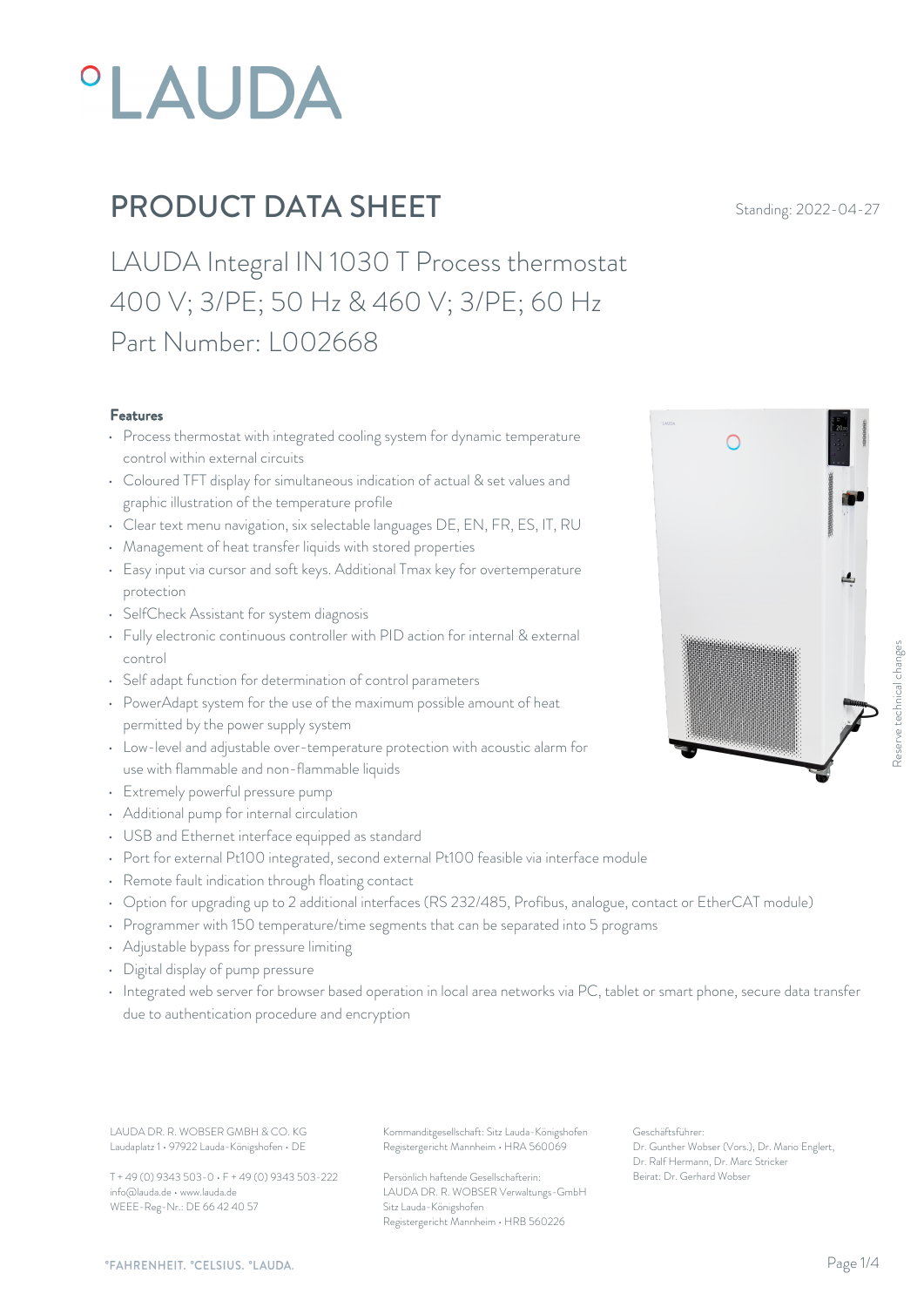

LAUDA Integral IN 1030 T Process thermostat 400 V; 3/PE; 50 Hz & 460 V; 3/PE; 60 Hz Part Number: L002668

#### Features

- Process thermostat with integrated cooling system for dynamic temperature control within external circuits
- Coloured TFT display for simultaneous indication of actual & set values and graphic illustration of the temperature profile
- Clear text menu navigation, six selectable languages DE, EN, FR, ES, IT, RU
- Management of heat transfer liquids with stored properties
- Easy input via cursor and soft keys. Additional Tmax key for overtemperature protection
- SelfCheck Assistant for system diagnosis
- Fully electronic continuous controller with PID action for internal & external control
- Self adapt function for determination of control parameters
- PowerAdapt system for the use of the maximum possible amount of heat permitted by the power supply system
- Low-level and adjustable over-temperature protection with acoustic alarm for use with flammable and non-flammable liquids
- Extremely powerful pressure pump
- Additional pump for internal circulation
- USB and Ethernet interface equipped as standard
- Port for external Pt100 integrated, second external Pt100 feasible via interface module
- Remote fault indication through floating contact
- Option for upgrading up to 2 additional interfaces (RS 232/485, Profibus, analogue, contact or EtherCAT module)
- Programmer with 150 temperature/time segments that can be separated into 5 programs
- Adjustable bypass for pressure limiting
- Digital display of pump pressure
- Integrated web server for browser based operation in local area networks via PC, tablet or smart phone, secure data transfer due to authentication procedure and encryption

LAUDA DR. R. WOBSER GMBH & CO. KG Kommanditgesellschaft: Sitz Lauda-Königshofen Geschäftsführer: Laudaplatz 1 • 97922 Lauda-Königshofen • DE

T + 49 (0) 9343 503-0 • F + 49 (0) 9343 503-222 info@lauda.de • www.lauda.de WEEE-Reg-Nr.: DE 66 42 40 57

Registergericht Mannheim • HRA 560069

Persönlich haftende Gesellschafterin: Beirat: Dr. Gerhard Wobse LAUDA DR. R. WOBSER Verwaltungs-GmbH Sitz Lauda-Königshofen Registergericht Mannheim • HRB 560226

Geschäftsführer: Dr. Gunther Wobser (Vors.), Dr. Mario Englert, Dr. Ralf Hermann, Dr. Marc Stricker Beschäftsführer:<br>Beischäftsführer:<br>Beischäftsführer:<br>Dr. Gunther Wobser (Vors.), Dr. Mario Englert,<br>Dr. Gunther Wobser (Vors.), Dr. Mario Englert,<br>Deirat: Dr. Gerhard Wobser

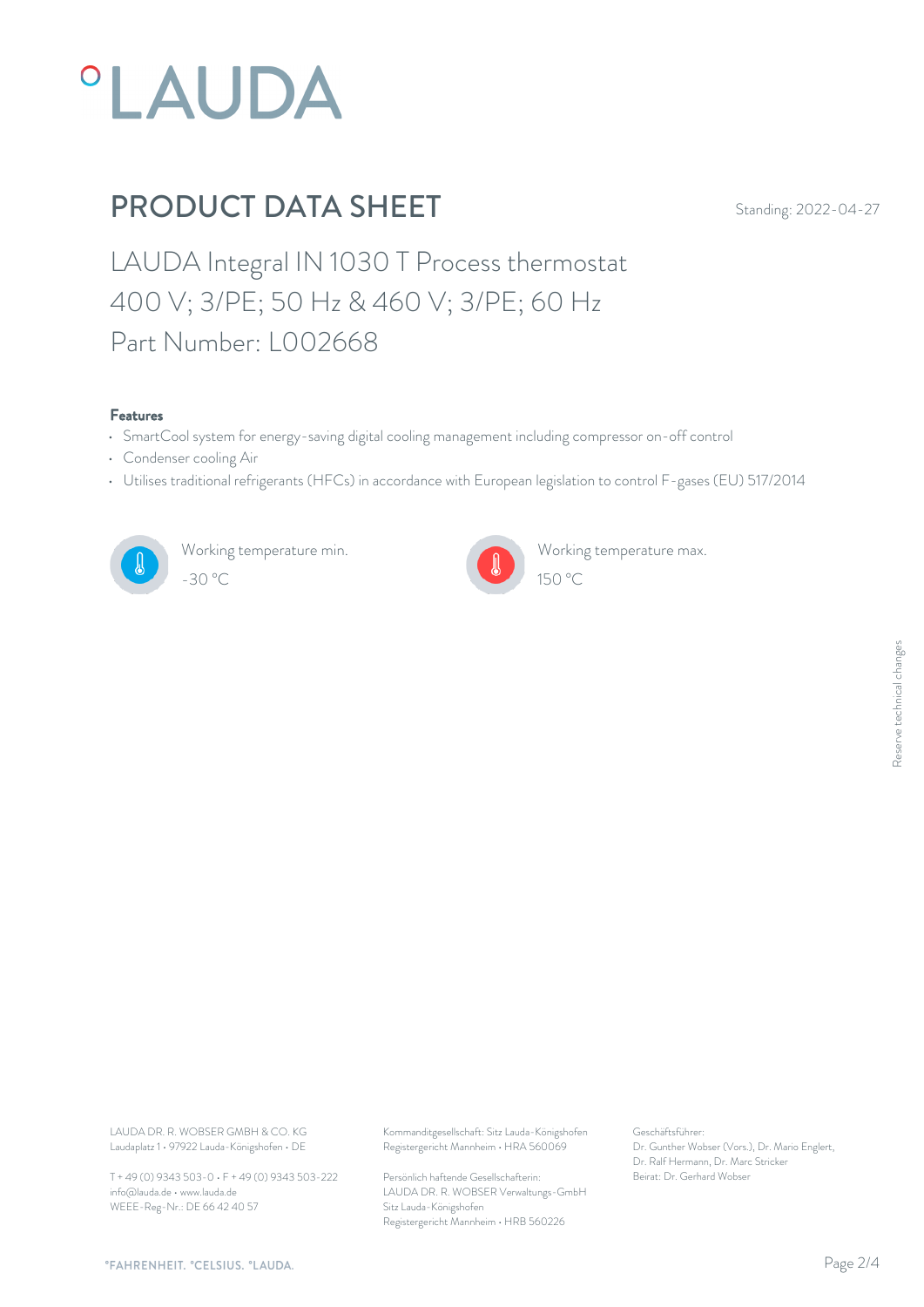

LAUDA Integral IN 1030 T Process thermostat 400 V; 3/PE; 50 Hz & 460 V; 3/PE; 60 Hz Part Number: L002668

#### Features

- SmartCool system for energy-saving digital cooling management including compressor on-off control
- Condenser cooling Air
- Utilises traditional refrigerants (HFCs) in accordance with European legislation to control F-gases (EU) 517/2014



Working temperature min. -30 °C 150 °C



Working temperature max.

Laudaplatz 1 • 97922 Lauda-Königshofen • DE

T + 49 (0) 9343 503-0 • F + 49 (0) 9343 503-222 info@lauda.de • www.lauda.de WEEE-Reg-Nr.: DE 66 42 40 57

LAUDA DR. R. WOBSER GMBH & CO. KG Kommanditgesellschaft: Sitz Lauda-Königshofen Geschäftsführer: Registergericht Mannheim • HRA 560069

> Persönlich haftende Gesellschafterin: Beirat: Dr. Gerhard Wobse LAUDA DR. R. WOBSER Verwaltungs-GmbH Sitz Lauda-Königshofen Registergericht Mannheim • HRB 560226

Geschäftsführer: Dr. Gunther Wobser (Vors.), Dr. Mario Englert, Dr. Ralf Hermann, Dr. Marc Stricker Beschäftsführer:<br>Dr. Gunther Wobser (Vors.), Dr. Mario Englert,<br>Dr. Ralf Hermann, Dr. Marc Stricker<br>Beirat: Dr. Gerhard Wobser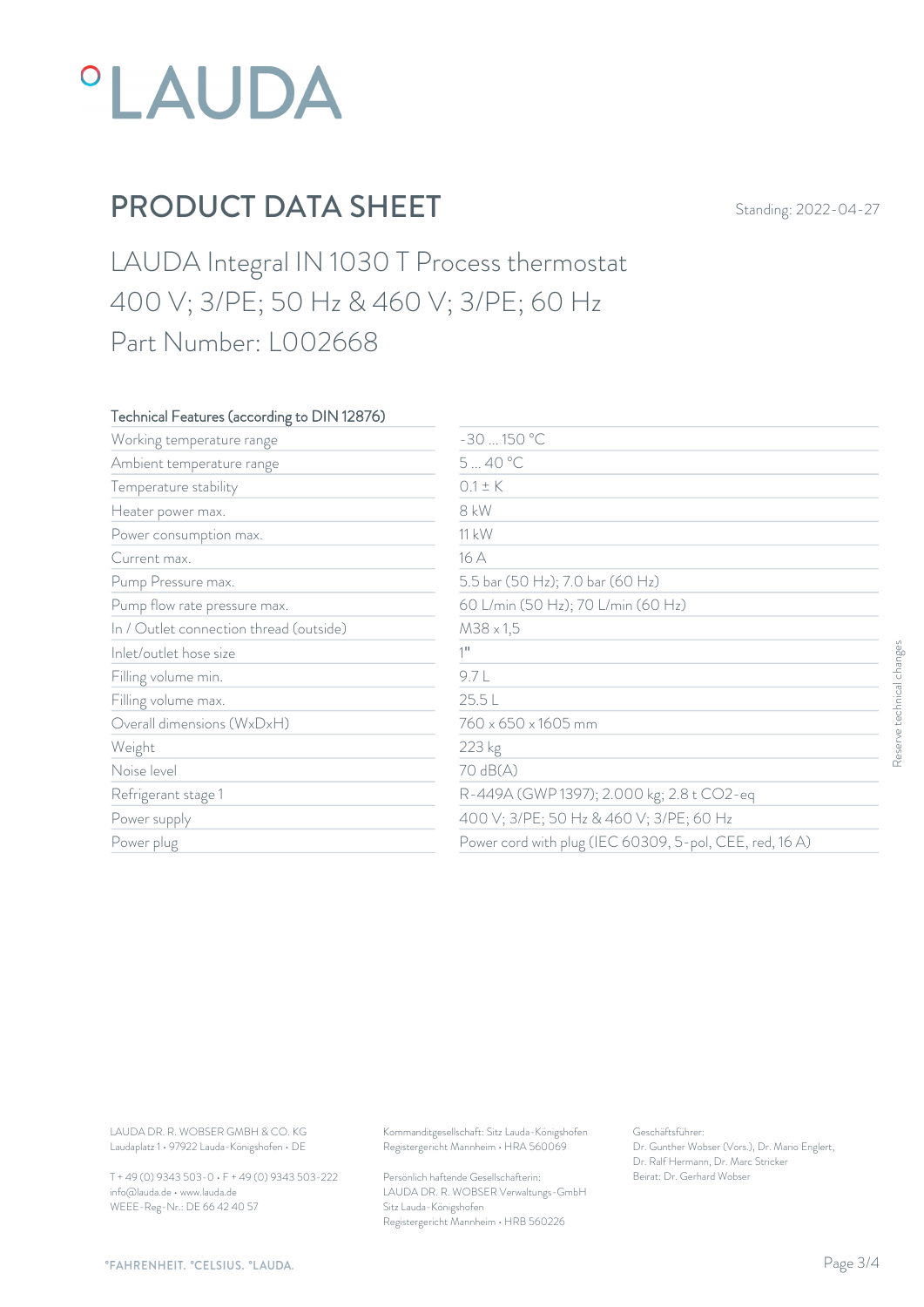

LAUDA Integral IN 1030 T Process thermostat 400 V; 3/PE; 50 Hz & 460 V; 3/PE; 60 Hz Part Number: L002668

### Technical Features (according to DIN 12876)

| Working temperature range               | $-30150 °C$                               |                                                         |                           |  |
|-----------------------------------------|-------------------------------------------|---------------------------------------------------------|---------------------------|--|
| Ambient temperature range               | 540 °C                                    |                                                         |                           |  |
| Temperature stability                   | $0.1 \pm K$                               |                                                         |                           |  |
| Heater power max.                       | 8 kW                                      |                                                         |                           |  |
| Power consumption max.                  | 11 kW                                     |                                                         |                           |  |
| Current max.                            | 16 A                                      |                                                         |                           |  |
| Pump Pressure max.                      | 5.5 bar (50 Hz); 7.0 bar (60 Hz)          |                                                         |                           |  |
| Pump flow rate pressure max.            | 60 L/min (50 Hz); 70 L/min (60 Hz)        |                                                         |                           |  |
| In / Outlet connection thread (outside) | $M38 \times 1,5$                          |                                                         |                           |  |
| Inlet/outlet hose size                  | $1$ <sup>11</sup>                         |                                                         | Reserve technical changes |  |
| Filling volume min.                     | 9.7L                                      |                                                         |                           |  |
| Filling volume max.                     | 25.5L                                     |                                                         |                           |  |
| Overall dimensions (WxDxH)              | 760 x 650 x 1605 mm                       |                                                         |                           |  |
| Weight                                  | 223 kg                                    |                                                         |                           |  |
| Noise level                             | 70 dB(A)                                  |                                                         |                           |  |
| Refrigerant stage 1                     | R-449A (GWP 1397); 2.000 kg; 2.8 t CO2-eq |                                                         |                           |  |
| Power supply                            | 400 V; 3/PE; 50 Hz & 460 V; 3/PE; 60 Hz   |                                                         |                           |  |
| Power plug                              |                                           | Power cord with plug (IEC 60309, 5-pol, CEE, red, 16 A) |                           |  |
|                                         |                                           |                                                         |                           |  |
|                                         |                                           |                                                         |                           |  |

T + 49 (0) 9343 503-0 • F + 49 (0) 9343 503-222 info@lauda.de • www.lauda.de WEEE-Reg-Nr.: DE 66 42 40 57

> Persönlich haftende Gesellschafterin: Beirat: Dr. Gerhard Wobse LAUDA DR. R. WOBSER Verwaltungs-GmbH Sitz Lauda-Königshofen Registergericht Mannheim • HRB 560226